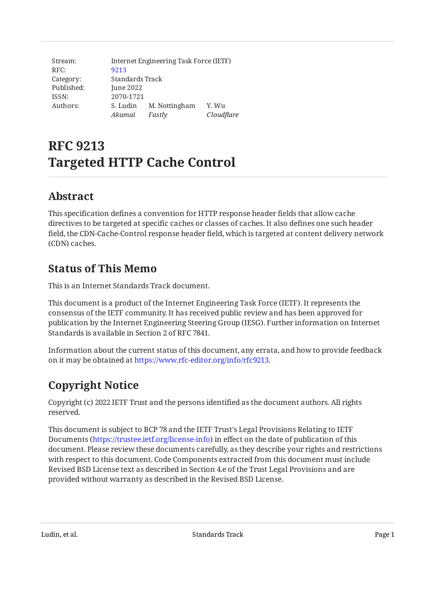| Stream:    | Internet Engineering Task Force (IETF) |               |            |
|------------|----------------------------------------|---------------|------------|
| RFC:       | 9213                                   |               |            |
| Category:  | Standards Track                        |               |            |
| Published: | June 2022                              |               |            |
| ISSN:      | 2070-1721                              |               |            |
| Authors:   | S. Ludin                               | M. Nottingham | Y. Wu      |
|            | Akamai                                 | Fastly        | Cloudflare |

# **RFC 9213 Targeted HTTP Cache Control**

# <span id="page-0-0"></span>**[Abstract](#page-0-0)**

This specification defines a convention for HTTP response header fields that allow cache directives to be targeted at specific caches or classes of caches. It also defines one such header field, the CDN-Cache-Control response header field, which is targeted at content delivery network (CDN) caches.

# <span id="page-0-1"></span>**[Status of This Memo](#page-0-1)**

This is an Internet Standards Track document.

This document is a product of the Internet Engineering Task Force (IETF). It represents the consensus of the IETF community. It has received public review and has been approved for publication by the Internet Engineering Steering Group (IESG). Further information on Internet Standards is available in Section 2 of RFC 7841.

Information about the current status of this document, any errata, and how to provide feedback on it may be obtained at [https://www.rfc-editor.org/info/rfc9213.](https://www.rfc-editor.org/info/rfc9213)

# <span id="page-0-2"></span>**[Copyright Notice](#page-0-2)**

Copyright (c) 2022 IETF Trust and the persons identified as the document authors. All rights reserved.

This document is subject to BCP 78 and the IETF Trust's Legal Provisions Relating to IETF Documents (<https://trustee.ietf.org/license-info>) in effect on the date of publication of this document. Please review these documents carefully, as they describe your rights and restrictions with respect to this document. Code Components extracted from this document must include Revised BSD License text as described in Section 4.e of the Trust Legal Provisions and are provided without warranty as described in the Revised BSD License.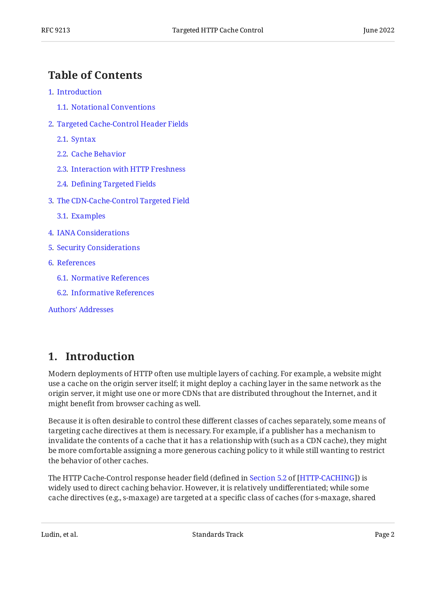## <span id="page-1-0"></span>**[Table of Contents](#page-1-0)**

- [1](#page-1-1). [Introduction](#page-1-1)
	- [1.1.](#page-2-0) [Notational Conventions](#page-2-0)
- [2](#page-2-1). [Targeted Cache-Control Header Fields](#page-2-1)
	- [2.1.](#page-2-2) [Syntax](#page-2-2)
	- [2.2.](#page-3-0) [Cache Behavior](#page-3-0)
	- [2.3.](#page-4-0) [Interaction with HTTP Freshness](#page-4-0)
	- [2.4.](#page-5-0) Defi[ning Targeted Fields](#page-5-0)
- [3](#page-5-1). [The CDN-Cache-Control Targeted Field](#page-5-1)
	- [3.1.](#page-5-2) [Examples](#page-5-2)
- [4](#page-6-0). [IANA Considerations](#page-6-0)
- [5](#page-6-1). [Security Considerations](#page-6-1)
- [6](#page-6-2). [References](#page-6-2)
	- [6.1.](#page-6-3) [Normative References](#page-6-3)
	- [6.2.](#page-7-0) [Informative References](#page-7-0)

[Authors' Addresses](#page-7-1)

### <span id="page-1-1"></span>**[1. Introduction](#page-1-1)**

Modern deployments of HTTP often use multiple layers of caching. For example, a website might use a cache on the origin server itself; it might deploy a caching layer in the same network as the origin server, it might use one or more CDNs that are distributed throughout the Internet, and it might benefit from browser caching as well.

Because it is often desirable to control these different classes of caches separately, some means of targeting cache directives at them is necessary. For example, if a publisher has a mechanism to invalidate the contents of a cache that it has a relationship with (such as a CDN cache), they might be more comfortable assigning a more generous caching policy to it while still wanting to restrict the behavior of other caches.

TheHTTP Cache-Control response header field (defined in Section 5.2 of [HTTP-CACHING]) is widely used to direct caching behavior. However, it is relatively undifferentiated; while some cache directives (e.g., s-maxage) are targeted at a specific class of caches (for s-maxage, shared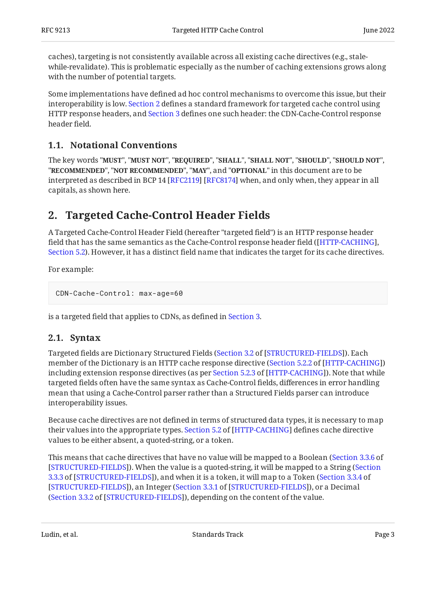caches), targeting is not consistently available across all existing cache directives (e.g., stalewhile-revalidate). This is problematic especially as the number of caching extensions grows along with the number of potential targets.

Some implementations have defined ad hoc control mechanisms to overcome this issue, but their interoperability is low. [Section 2](#page-2-1) defines a standard framework for targeted cache control using HTTP response headers, and [Section 3](#page-5-1) defines one such header: the CDN-Cache-Control response header field.

#### <span id="page-2-0"></span>**[1.1. Notational Conventions](#page-2-0)**

The key words "MUST", "MUST NOT", "REQUIRED", "SHALL", "SHALL NOT", "SHOULD", "SHOULD NOT", "**RECOMMENDED", "NOT RECOMMENDED", "MAY",** and "OPTIONAL" in this document are to be interpreted as described in BCP 14 [RFC2119] [RFC8174] when, and only when, they appear in all capitals, as shown here.

### <span id="page-2-1"></span>**[2. Targeted Cache-Control Header Fields](#page-2-1)**

A Targeted Cache-Control Header Field (hereafter "targeted field") is an HTTP response header field that has the same semantics as the Cache-Control response header field ( [\[HTTP-CACHING](#page-6-4)], [Section 5.2](https://www.rfc-editor.org/rfc/rfc9111#section-5.2)). However, it has a distinct field name that indicates the target for its cache directives.

For example:

```
CDN-Cache-Control: max-age=60
```
<span id="page-2-2"></span>is a targeted field that applies to CDNs, as defined in [Section 3.](#page-5-1)

#### **[2.1. Syntax](#page-2-2)**

Targeted fields are Dictionary Structured Fields ([Section 3.2](https://www.rfc-editor.org/rfc/rfc8941#section-3.2) of [\[STRUCTURED-FIELDS](#page-7-4)]). Each member of the Dictionary is an HTTP cache response directive ([Section 5.2.2](https://www.rfc-editor.org/rfc/rfc9111#section-5.2.2) of [[HTTP-CACHING\]](#page-6-4)) includingextension response directives (as per Section 5.2.3 of [HTTP-CACHING]). Note that while targeted fields often have the same syntax as Cache-Control fields, differences in error handling mean that using a Cache-Control parser rather than a Structured Fields parser can introduce interoperability issues.

Because cache directives are not defined in terms of structured data types, it is necessary to map theirvalues into the appropriate types. Section 5.2 of [HTTP-CACHING] defines cache directive values to be either absent, a quoted-string, or a token.

This means that cache directives that have no value will be mapped to a Boolean ( [Section 3.3.6](https://www.rfc-editor.org/rfc/rfc8941#section-3.3.6) of [[STRUCTURED-FIELDS\]](#page-7-4)). When the value is a quoted-string, it will be mapped to a String ([Section](https://www.rfc-editor.org/rfc/rfc8941#section-3.3.3) [3.3.3](https://www.rfc-editor.org/rfc/rfc8941#section-3.3.3) of [\[STRUCTURED-FIELDS\]](#page-7-4)), and when it is a token, it will map to a Token ([Section 3.3.4](https://www.rfc-editor.org/rfc/rfc8941#section-3.3.4) of [[STRUCTURED-FIELDS\]](#page-7-4)), an Integer ([Section 3.3.1](https://www.rfc-editor.org/rfc/rfc8941#section-3.3.1) of [STRUCTURED-FIELDS]), or a Decimal ([Section 3.3.2](https://www.rfc-editor.org/rfc/rfc8941#section-3.3.2) of [\[STRUCTURED-FIELDS](#page-7-4)]), depending on the content of the value.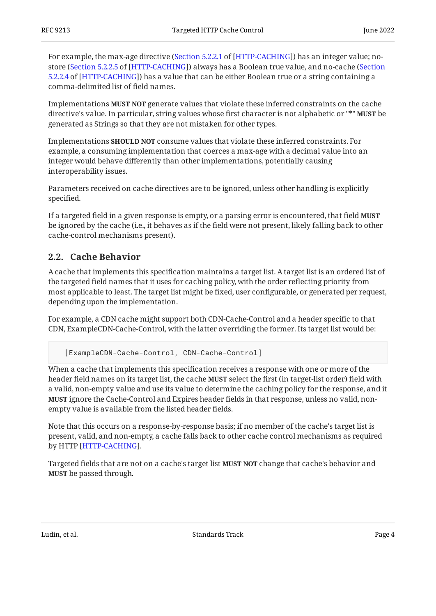For example, the max-age directive ([Section 5.2.2.1](https://www.rfc-editor.org/rfc/rfc9111#section-5.2.2.1) of [[HTTP-CACHING\]](#page-6-4)) has an integer value; no-store ([Section 5.2.2.5](https://www.rfc-editor.org/rfc/rfc9111#section-5.2.2.5) of [\[HTTP-CACHING](#page-6-4)]) always has a Boolean true value, and no-cache ([Section](https://www.rfc-editor.org/rfc/rfc9111#section-5.2.2.4) [5.2.2.4](https://www.rfc-editor.org/rfc/rfc9111#section-5.2.2.4) of [[HTTP-CACHING\]](#page-6-4)) has a value that can be either Boolean true or a string containing a comma-delimited list of field names.

Implementations **MUST NOT** generate values that violate these inferred constraints on the cache directive's value. In particular, string values whose first character is not alphabetic or "\*" **MUST** be generated as Strings so that they are not mistaken for other types.

Implementations **SHOULD NOT** consume values that violate these inferred constraints. For example, a consuming implementation that coerces a max-age with a decimal value into an integer would behave differently than other implementations, potentially causing interoperability issues.

Parameters received on cache directives are to be ignored, unless other handling is explicitly specified.

If a targeted field in a given response is empty, or a parsing error is encountered, that field **MUST** be ignored by the cache (i.e., it behaves as if the field were not present, likely falling back to other cache-control mechanisms present).

#### <span id="page-3-0"></span>**[2.2. Cache Behavior](#page-3-0)**

A cache that implements this specification maintains a target list. A target list is an ordered list of the targeted field names that it uses for caching policy, with the order reflecting priority from most applicable to least. The target list might be fixed, user configurable, or generated per request, depending upon the implementation.

For example, a CDN cache might support both CDN-Cache-Control and a header specific to that CDN, ExampleCDN-Cache-Control, with the latter overriding the former. Its target list would be:

[ExampleCDN-Cache-Control, CDN-Cache-Control]

When a cache that implements this specification receives a response with one or more of the header field names on its target list, the cache **MUST** select the first (in target-list order) field with a valid, non-empty value and use its value to determine the caching policy for the response, and it **MUST** ignore the Cache-Control and Expires header fields in that response, unless no valid, nonempty value is available from the listed header fields.

Note that this occurs on a response-by-response basis; if no member of the cache's target list is present, valid, and non-empty, a cache falls back to other cache control mechanisms as required by HTTP [HTTP-CACHING].

Targeted fields that are not on a cache's target list **MUST NOT** change that cache's behavior and **MUST** be passed through.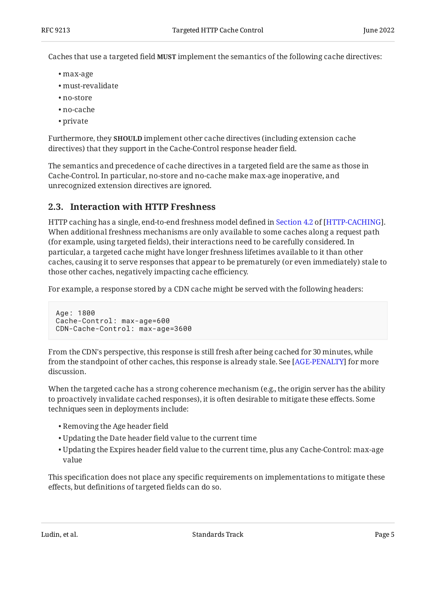Caches that use a targeted field **MUST** implement the semantics of the following cache directives:

- max-age •
- must-revalidate •
- no-store •
- no-cache •
- private •

Furthermore, they **SHOULD** implement other cache directives (including extension cache directives) that they support in the Cache-Control response header field.

The semantics and precedence of cache directives in a targeted field are the same as those in Cache-Control. In particular, no-store and no-cache make max-age inoperative, and unrecognized extension directives are ignored.

#### <span id="page-4-0"></span>**[2.3. Interaction with HTTP Freshness](#page-4-0)**

HTTPcaching has a single, end-to-end freshness model defined in Section 4.2 of [HTTP-CACHING]. When additional freshness mechanisms are only available to some caches along a request path (for example, using targeted fields), their interactions need to be carefully considered. In particular, a targeted cache might have longer freshness lifetimes available to it than other caches, causing it to serve responses that appear to be prematurely (or even immediately) stale to those other caches, negatively impacting cache efficiency.

For example, a response stored by a CDN cache might be served with the following headers:

```
Age: 1800
Cache-Control: max-age=600
CDN-Cache-Control: max-age=3600
```
From the CDN's perspective, this response is still fresh after being cached for 30 minutes, while from the standpoint of other caches, this response is already stale. See [AGE-PENALTY] for more discussion.

When the targeted cache has a strong coherence mechanism (e.g., the origin server has the ability to proactively invalidate cached responses), it is often desirable to mitigate these effects. Some techniques seen in deployments include:

- Removing the Age header field •
- Updating the Date header field value to the current time •
- $\bullet$  Updating the Expires header field value to the current time, plus any Cache-Control:  ${\max}\text{-age}$ value

This specification does not place any specific requirements on implementations to mitigate these effects, but definitions of targeted fields can do so.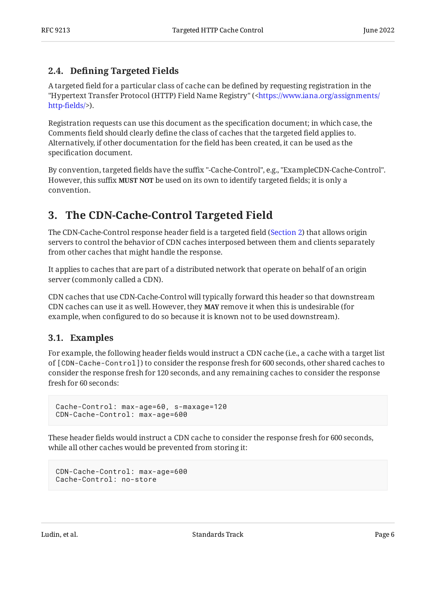#### <span id="page-5-0"></span>**[2.4. D](#page-5-0)efi[ning Targeted Fields](#page-5-0)**

A targeted field for a particular class of cache can be defined by requesting registration in the "Hypertext Transfer Protocol (HTTP) Field Name Registry" ([<https://www.iana.org/assignments/](https://www.iana.org/assignments/http-fields/) [http-](https://www.iana.org/assignments/http-fields/)fields/>).

Registration requests can use this document as the specification document; in which case, the Comments field should clearly define the class of caches that the targeted field applies to. Alternatively, if other documentation for the field has been created, it can be used as the specification document.

By convention, targeted fields have the suffix "-Cache-Control", e.g., "ExampleCDN-Cache-Control". However, this suffix **MUST NOT** be used on its own to identify targeted fields; it is only a convention.

## <span id="page-5-1"></span>**[3. The CDN-Cache-Control Targeted Field](#page-5-1)**

The CDN-Cache-Control response header field is a targeted field ([Section 2\)](#page-2-1) that allows origin servers to control the behavior of CDN caches interposed between them and clients separately from other caches that might handle the response.

It applies to caches that are part of a distributed network that operate on behalf of an origin server (commonly called a CDN).

CDN caches that use CDN-Cache-Control will typically forward this header so that downstream CDN caches can use it as well. However, they **MAY** remove it when this is undesirable (for example, when configured to do so because it is known not to be used downstream).

#### <span id="page-5-2"></span>**[3.1. Examples](#page-5-2)**

For example, the following header fields would instruct a CDN cache (i.e., a cache with a target list of [CDN-Cache-Control]) to consider the response fresh for 600 seconds, other shared caches to consider the response fresh for 120 seconds, and any remaining caches to consider the response fresh for 60 seconds:

```
Cache-Control: max-age=60, s-maxage=120
CDN-Cache-Control: max-age=600
```
These header fields would instruct a CDN cache to consider the response fresh for 600 seconds, while all other caches would be prevented from storing it:

```
CDN-Cache-Control: max-age=600
Cache-Control: no-store
```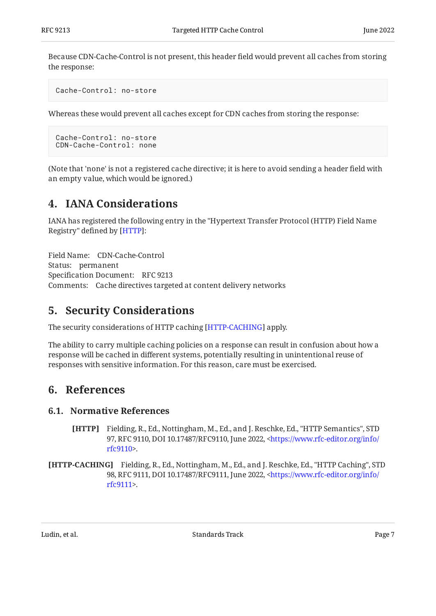Because CDN-Cache-Control is not present, this header field would prevent all caches from storing the response:

```
Cache-Control: no-store
```
Whereas these would prevent all caches except for CDN caches from storing the response:

```
Cache-Control: no-store
CDN-Cache-Control: none
```
<span id="page-6-0"></span>(Note that 'none' is not a registered cache directive; it is here to avoid sending a header field with an empty value, which would be ignored.)

### **[4. IANA Considerations](#page-6-0)**

IANA has registered the following entry in the "Hypertext Transfer Protocol (HTTP) Field Name Registry" defined by [HTTP]:

Field Name: CDN-Cache-Control Status: permanent Specification Document: RFC 9213 Comments: Cache directives targeted at content delivery networks

### <span id="page-6-1"></span>**[5. Security Considerations](#page-6-1)**

The security considerations of HTTP caching [HTTP-CACHING] apply.

The ability to carry multiple caching policies on a response can result in confusion about how a response will be cached in different systems, potentially resulting in unintentional reuse of responses with sensitive information. For this reason, care must be exercised.

### <span id="page-6-3"></span><span id="page-6-2"></span>**[6. References](#page-6-2)**

#### <span id="page-6-5"></span>**[6.1. Normative References](#page-6-3)**

- **[HTTP]** Fielding, R., Ed., Nottingham, M., Ed., and J. Reschke, Ed., "HTTP Semantics", STD 97, RFC 9110, DOI 10.17487/RFC9110, June 2022, [<https://www.rfc-editor.org/info/](https://www.rfc-editor.org/info/rfc9110) . [rfc9110](https://www.rfc-editor.org/info/rfc9110)>
- <span id="page-6-4"></span>**[HTTP-CACHING]** Fielding, R., Ed., Nottingham, M., Ed., and J. Reschke, Ed., "HTTP Caching", STD 98, RFC 9111, DOI 10.17487/RFC9111, June 2022, [<https://www.rfc-editor.org/info/](https://www.rfc-editor.org/info/rfc9111) . [rfc9111](https://www.rfc-editor.org/info/rfc9111)>